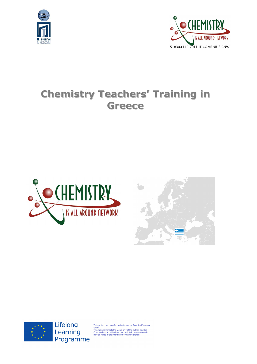



# **Chemistry Teachers' Training in Greece**







Lifelong Learning Programme

This project has been funded with support from the European<br>Union.<br>This material reflects the views only of the author, and the<br>This material reflects the views only of the author, and the<br>Commission cannot be held respons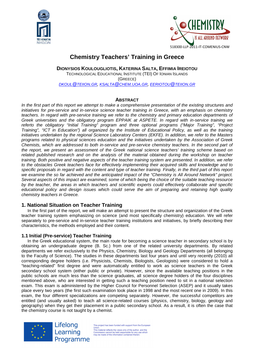



# **Chemistry Teachers' Training in Greece**

**DIONYSIOS KOULOUGLIOTIS, KATERINA SALTA, EFFIMIA IREIOTOU** TECHNOLOGICAL EDUCATIONAL INSTITUTE (TEI) OF IONIAN ISLANDS (GREECE) DKOUL@TEIION.GR, KSALTA@CHEM.UOA.GR, EERIOTOU@TEIION.GR

# **ABSTRACT**

In the first part of this report we attempt to make a comprehensive presentation of the existing structures and initiatives for pre-service and in-service science teacher training in Greece, with an emphasis on chemistry teachers. In regard with pre-service training we refer to the chemistry and primary education departments of Greek universities and the obligatory program EPPAIK at ASPETE. In regard with in-service training we referto the obligatory "Initial Training" program and three optional programs ("Major Training", "Project Training", "ICT in Education") all organized by the Institute of Educational Policy, as well as the training initiatives undertaken by the regional Science Laboratory Centers (EKFE). In addition, we refer to the Masters programs related to physical sciences education and the initiatives undertaken by the Association of Greek Chemists, which are addressed to both in-service and pre-service chemistry teachers. In the second part of the report, we present an assessment of the Greek national science teachers' training scheme based on related published research and on the analysis of the material obtained during the workshop on teacher training. Both positive and negative aspects of the teacher training system are presented. In addition, we refer to the obstacles Greek teachers face for effectively implementing their acquired skills and knowledge and to specific proposals in regard with the content and type of teacher training. Finally, in the third part of this report we examine the so far achieved and the anticipated impact of the "Chemistry is All Around Network" project. Several aspects of this impact are examined, some of which being the choice of the suitable teaching resource by the teacher, the areas in which teachers and scientific experts could effectively collaborate and specific educational policy and design issues which could serve the aim of preparing and retaining high quality chemistry teachers in Greece.

# **1. National Situation on Teacher Training**

In the first part of the report, we will make an attempt to present the structure and organization of the Greek teacher training system emphasizing on science (and most specifically chemistry) education. We will refer separately to pre-service and in-service teacher training institutions and initiatives, by briefly describing their characteristics, the methods employed and their content.

#### **1.1 Initial (Pre-service) Teacher Training**

In the Greek educational system, the main route for becoming a science teacher in secondary school is by obtaining an undergraduate degree (B. Sc.) from one of the related university departments. By related departments we refer exclusively to the Physics, Chemistry, Biology and Geology Departments (all belonging to the Faculty of Science). The studies in these departments last four years and until very recently (2010) all corresponding degree holders (i.e. Physicists, Chemists, Biologists, Geologists) were considered to hold a "teaching-related" first degree and were automatically entitled to work as science teachers in the Greek secondary school system (either public or private). However, since the available teaching positions in the public schools are much less than the science graduates, all science degree holders of the four disciplines mentioned above, who are interested in getting such a teaching position need to sit in a national selection exam. This exam is administered by the Higher Council for Personnel Selection (ASEP) and it usually takes place every two years (the first such examination took place in 1998 and the most recent one in 2009). In this exam, the four different specializations are competing separately. However, the successful competitors are entitled (and usually asked) to teach all science-related courses (physics, chemistry, biology, geology and geography) when they get their placement in a public secondary school. As a result, it is often the case that the chemistry course is not taught by a chemist.

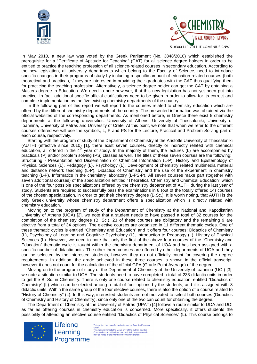



In May 2010, a new law was voted by the Greek Parliament (No. 3848/2010) which established the prerequisite for a "Certificate of Aptitude for Teaching" (CAT) for all science degree holders in order to be entitled to practice the teaching profession of all science-related courses in secondary education. According to the new legislation, all university departments which belong to the Faculty of Science, need to introduce specific changes in their programs of study by including a specific amount of education-related courses (both theoretical and practical), if they are interested in providing their graduates with the CAT thus qualifying them for practicing the teaching profession. Alternatively, a science degree holder can get the CAT by obtaining a Masters degree in Education. We need to note however, that this new legislation has not yet been put into practice. In fact, additional specific official clarifications need to be given in order to allow for its correct and complete implementation by the five existing chemistry departments of the country.

In the following part of this report we will report to the courses related to chemistry education which are offered by the different chemistry departments of the country. The presented information was obtained via the official websites of the corresponding departments. As mentioned before, in Greece there exist 5 chemistry departments at the following universities: University of Athens, University of Thessaloniki, University of Ioannina, University of Patras and University of Crete. At this point, we note that when we refer to the different courses offered we will use the symbols, L, P and PS for the Lecture, Practical and Problem Solving part of each course, respectively.

Starting with the program of study of the Department of Chemistry at the Aristotle University of Thessaloniki (AUTH) (effective since 2010) [1], there exist seven courses, directly or indirectly related with chemical education, all offered in the  $4<sup>th</sup>$  year of study. In the majority of them, the lectures (L) are accompanied by practicals (P) and/or problem solving (PS) classes as well. The titles of these seven courses are the following:, Structuring - Presentation and Dissemination of Chemical Information (L-P), History and Epistemology of Physical Sciences (L), Pedagogy (L), Psychology (L), Development of chemistry related multimedia material and distance network teaching (L-P), Didactics of Chemistry and the use of the experiment in chemistry teaching (L-P), Informatics in the chemistry laboratory (L-PS-P). All seven courses make part (together with seven additional courses) of the specialization entitled "Theoretical Chemistry and Chemical Education" which is one of the four possible specializations offered by the chemistry department of AUTH during the last year of study. Students are required to successfully pass the examinations in 8 (out of the totally offered 14) courses of the chosen specialization, in order to get their chemistry degree (B.Sc.). It is worth noting, that AUTH is the only Greek university whose chemistry department offers a specialization which is directly related with chemistry education.

Moving on to the program of study of the Department of Chemistry at the National and Kapodistrian University of Athens (UOA) [2], we note that a student needs to have passed a total of 32 courses for the completion of the chemistry degree (B. Sc.). 23 of these courses are obligatory and the remaining 9 are elective from a total of 34 options. The elective courses are organized in 11 different thematic cycles. One of these thematic cycles is entitled "Chemistry and Education" and it offers four courses: Didactics of Chemistry (L), Psychology of Learning and Cognitive Psychology (L), Introduction to Pedagogy (L), History of Physical Sciences (L). However, we need to note that only the first of the above four courses of the "Chemistry and Education" thematic cycle is taught within the chemistry department of UOA and has been assigned with a specific number of didactic units. The other three courses are offered by other departments of UOA and they can be selected by the interested students, however they do not officially count for covering the degree requirements. In addition, the grade achieved in these three courses is shown in the official transcript; however it does not count for the calculation of the official GPA (Grade Point Average) of the degree.

Moving on to the program of study of the Department of Chemistry at the University of Ioannina (UOI) [3], we note a situation similar to UOA. The students need to have completed a total of 233 didactic units in order to get the B. Sc. in Chemistry. There is only one course related to chemistry education, entitled "Didactics of Chemistry" (L) which can be elected among a total of four options by the students, and it is assigned with 3 didactic units. Within the same group of the four elective courses, there is also the option of a course related to "History of Chemistry" (L). In this way, interested students are not motivated to select both courses (Didactics of Chemistry and History of Chemistry), since only one of the two can count for obtaining the degree.

The Department of Chemistry at the University of Patras (UPAT) [4] follows a route similar to UOA and UOI as far as offering courses in chemistry education is concerned. More specifically, it offers students the possibility of attending an elective course entitled "Didactics of Physical Sciences" (L). This course belongs to

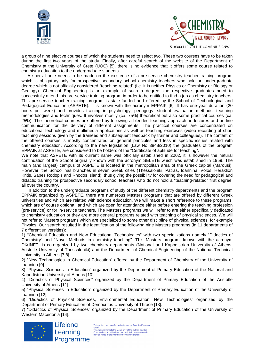



a group of nine elective courses of which the students need to select two. These two courses have to be taken during the first two years of the study. Finally, after careful search of the website of the Department of Chemistry at the University of Crete (UOC) [5], there is no evidence that it offers some course related to chemistry education to the undergraduate students.

A special note needs to be made on the existence of a pre-service chemistry teacher training program which is obligatory only for prospective secondary school chemistry teachers who hold an undergraduate degree which is not officially considered "teaching-related" (i.e. it is neither Physics or Chemistry or Biology or Geology). Chemical Engineering is an example of such a degree; the respective graduates need to successfully attend this pre-service training program in order to be entitled to find a job as chemistry teachers. This pre-service teacher training program is state-funded and offered by the School of Technological and Pedagogical Education (ASPETE). It is known with the acronym EPPAIK [6]. It has one-year duration (20 hours per week) and provides training in psychology, pedagogy, student evaluation methods, teaching methodologies and techniques. It involves mostly (ca. 75%) theoretical but also some practical courses (ca. 25%). The theoretical courses are offered by following a blended teaching approach, ie lectures and on-line communication for the delivery of different assignments. The practical courses are concentrated on educational technology and multimedia applications as well as teaching exercises (video recording of short teaching sessions given by the trainees and subsequent feedback by trainer and colleagues). The content of the offered courses is mostly concentrated on general principles and less in specific issues related with chemistry education. According to the new legislation (Law No 3848/2010) the graduates of the program EPPAIK at ASPETE, are considered to be holders of the "Certificate of aptitude for teaching".

We note that ASPETE with its current name was officially established in 2002, it is however the natural continuation of the School originally known with the acronym SELETE which was established in 1959. The main (and largest) campus of ASPETE is located in the metropolitan area of the Greek capital (Marousi). However, the School has branches in seven Greek cities (Thessaloniki, Patras, Ioannina, Volos, Heraklion Kritis, Sapes Rodopis and Rhodos Island), thus giving the possibility for covering the need for pedagogical and didactic training for prospective secondary school teachers who do not hold a "teaching-related" first degree, all over the country.

In addition to the undergraduate programs of study of the different chemistry departments and the program EPPAIK organized by ASPETE, there are numerous Masters programs that are offered by different Greek universities and which are related with science education. We will make a short reference to these programs, which are of course optional, and which are open for attendance either before entering the teaching profession (pre-service) or for in-service teachers. The Masters programs we will refer to are either specifically dedicated to chemistry education or they are more general programs related with teaching of physical sciences. We will not refer to Masters programs which are specialized to some other discipline of physical sciences, for example Physics. Our search resulted in the identification of the following nine Masters programs (in 11 departments of 7 different universities):

1) "Chemical Education and New Educational Technologies" with two specializations namely "Didactics of Chemistry" and "Novel Methods in chemistry teaching". This Masters program, known with the acronym DIXINET, is co-organized by two chemistry departments (National and Kapodistrian University of Athens, Aristotle University of Thessaloniki) and the Department of Chemical Engineering of the National Technical University in Athens [7,8].

2) "New Technologies in Chemical Education" offered by the Department of Chemistry of the University of Ioannina [9].

3) "Physical Sciences in Education" organized by the Department of Primary Education of the National and Kapodistrian University of Athens [10].

4) "Didactics of Physical Sciences" organized by the Department of Primary Education of the Aristotle University of Athens [11].

5) "Physical Sciences in Education" organized by the Department of Primary Education of the University of Ioannina [12].

6) "Didactics of Physical Sciences, Environmental Education, New Technologies" organized by the Department of Primary Education of Democritus University of Thrace [13].

7) "Didactics of Physical Sciences" organized by the Department of Primary Education of the University of Western Macedonia [14].



This project has been funded with support from the European<br>Union.<br>This material reflects the views only of the author, and the<br>This material reflects the views only of the author, and the<br>Commission cannot be held respons Learning Programme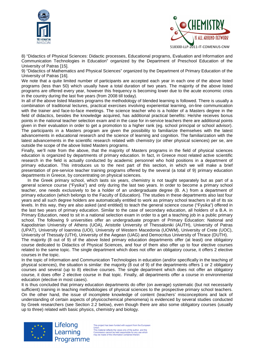



8) "Didactics of Physical Sciences: Didactic processes, Educational programs, Evaluation and Information and Communication Technologies in Education" organized by the Department of Preschool Education of the University of Patras [15].

9) "Didactics of Mathematics and Physical Sciences" organized by the Department of Primary Education of the University of Patras [16].

We note that a quite limited number of participants are accepted each year in each one of the above listed programs (less than 50) which usually have a total duration of two years. The majority of the above listed programs are offered every year, however this frequency is becoming lower due to the acute economic crisis in the country during the last five years (from 2008 till today).

In all of the above listed Masters programs the methodology of blended learning is followed. There is usually a combination of traditional lectures, practical exercises involving experiential learning, on-line communication with the trainer and face-to-face meetings. The science teacher who is a holder of a Masters degree in the field of didactics, besides the knowledge acquired, has additional practical benefits: He/she receives bonus points in the national teacher selection exam and in the case for in-service teachers there are additional points given in their evaluation in order to get a promotion to a higher rank (eg. school principal or school advisor). The participants in a Masters program are given the possibility to familiarize themselves with the latest advancements in educational research and the science of learning and cognition. The familiarization with the latest advancements in the scientific research related with chemistry (or other physical sciences) per se, are outside the scope of the above listed Masters programs.

Finally, we'll note from the above, that the majority of Masters programs in the field of physical sciences education is organized by departments of primary education. In fact, in Greece most related active scientific research in the field is actually conducted by academic personnel who hold positions in a department of primary education. This introduces us to the next part of this section, in which we will make a brief presentation of pre-service teacher training programs offered by the several (a total of 9) primary education departments in Greece, by concentrating on physical sciences.

In the Greek primary school, which lasts six years, chemistry is not taught separately but as part of a general science course ("Fysika") and only during the last two years. In order to become a primary school teacher, one needs exclusively to be a holder of an undergraduate degree (B. A.) from a department of primary education (which belongs to the Faculty of Education). The studies in these departments also last four years and all such degree holders are automatically entitled to work as primary school teachers in all of its six levels. In this way, they are also asked (and entitled) to teach the general science course ("Fysika") offered in the last two years of primary education. Similar to the case of secondary education, all holders of a B.A. in Primary Education, need to sit in a national selection exam in order to a get a teaching job in a public primary school. The following 9 universities offer an undergraduate program of Primary Education: National and Kapodistrian University of Athens (UOA), Aristotle University of Thessaloniki (AUTH), University of Patras (UPAT), University of Ioannina (UOI), University of Western Macedonia (UOWM), University of Crete (UOC), University of Thessaly (UTH), University of the Aegean (UAG) and Democritus University of Thrace (DUTH).

The majority (8 out of 9) of the above listed primary education departments offer (at least) one obligatory course dedicated to Didactics of Physical Sciences, and four of them also offer up to four elective courses related to the same topic. The single department which does not offer an obligatory course, it offers 2 elective courses in the topic.

In the topic of Information and Communication Technologies in education (and/or specifically in the teaching of physical sciences), the situation is similar: the majority (8 out of 9) of the departments offers 1 or 2 obligatory courses and several (up to 8) elective courses. The single department which does not offer an obligatory course, it does offer 2 elective course in that topic. Finally, all departments offer a course in environmental education (elective in most cases).

It is thus concluded that primary education departments do offer (on average) systematic (but not necessarily sufficient) training in teaching methodologies of physical sciences to the prospective primary school teachers. On the other hand, the issue of incomplete knowledge of content (teachers' misconceptions and lack of understanding of certain aspects of physicochemical phenomena) is evidenced by several studies conducted by Greek researchers (see Section 2.2 below), even though there are also some obligatory courses (usually up to three) related with basic physics, chemistry and biology.



This project has been funded with support from the European This project has been funded with support from the Europ<br>
This material reflects the views only of the author,<br>
This material reflects the views only of the author, and the<br>
may be made of the information contained therein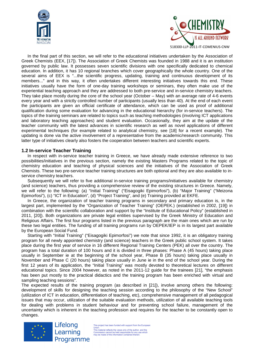



In the final part of this section, we will refer to the educational initiatives undertaken by the Association of Greek Chemists (EEX, [17]). The Association of Greek Chemists was founded in 1988 and it is an institution governed by public law. It possesses seven scientific divisions with one specifically dedicated to chemical education. In addition, it has 10 regional branches which cover geographically the whole country. One of the several aims of EEX is "...the scientific progress, updating, training and continuous development of its members..." and in this way, it often undertakes different interesting initiatives towards this end. These initiatives usually have the form of one-day training workshops or seminars, they often make use of the experiential teaching approach and they are addressed to both pre-service and in-service chemistry teachers. They take place mostly during the core of the school year (October – May) with an average rate of 4-6 events every year and with a strictly controlled number of participants (usually less than 40). At the end of each event the participants are given an official certificate of attendance, which can be used as proof of additional qualification during some evaluation for advancing in the educational hierarchy (for in-service teachers). The topics of the training seminars are related to topics such as teaching methodologies (involving ICT applications and laboratory teaching approaches) and student evaluation. Occasionally, they aim at the update of the teacher community with the latest advances in scientific research as well as novel applications of different experimental techniques (for example related to analytical chemistry, see [18] for a recent example). The updating is done via the active involvement of a representative from the academic/research community. This latter type of initiatives clearly also fosters the cooperation between teachers and scientific experts.

#### **1.2 In-service Teacher Training**

In respect with in-service teacher training in Greece, we have already made extensive reference to two possibilities/initiatives in the previous section, namely the existing Masters Programs related to the topic of chemistry education and teaching of physical sciences and the initiatives of the Association of Greek Chemists. These two pre-service teacher training structures are both optional and they are also available to inservice chemistry teachers.

Subsequently we will refer to five additional in-service training programs/initiatives available for chemistry (and science) teachers, thus providing a comprehensive review of the existing structures in Greece. Namely, we will refer to the following: (a) "Initial Training" ("Eisagogiki Epimorfosi"), (b) "Major Training" ("Meizona Epimorfosi"), (c) "ICT in Education", (d) "Project Training", and (e) Training provided at EKFE.

In Greece, the organization of teacher training programs in secondary and primary education is, in the largest part, implemented by the "Organization of Teacher Training" (OEPEK.) (established in 2002, [19]) in combination with the scientific collaboration and support by the "Institute of Educational Policy" (established in 2011, [20]). Both organizations are private legal entities supervised by the Greek Ministry of Education and Religious Affairs. The first four programs listed in the previous paragraph are the main ones which are run by these two legal entities. The funding of all training programs run by OEPEK/IEP is in its largest part available by the European Social Fund.

Starting with "Initial Training" ("Eisagogiki Epimorfosi") we note that since 1992, it is an obligatory training program for all newly appointed chemistry (and science) teachers in the Greek public school system. It takes place during the first year of service in 16 different Regional Training Centers (PEK) all over the country. The program has a total duration of 100 hours and it is divided in three phases: Phase A (45 hours) taking place usually in September ie at the beginning of the school year, Phase B (35 hours) taking place usually in November and Phase C (20 hours) taking place usually in June ie in the end of the school year. During the first 12 years of its application, the "Initial Training" was mostly devoted to theoretical lectures on different educational topics. Since 2004 however, as noted in the 2011-12 guide for the trainees [21], "the emphasis has been put mostly to the practical didactics and the training program has been enriched with virtual and sampling teaching sessions".

The expected results of the training program (as described in [21]), involve among others the following: development of skills for designing the teaching session according to the philosophy of the "New School" (utilization of ICT in education, differentiation of teaching, etc), comprehensive management of all pedagogical issues that may occur, utilization of the suitable evaluation methods, utilization of all available teaching tools for dealing with problems in student behaviour and for preventing school failure, management of the uncertainty which is inherent in the teaching profession and requires for the teacher to be constantly open to changes.



Lifelong Learning Programme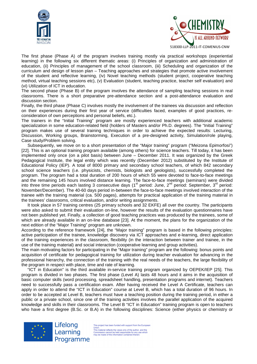



The first phase (Phase A) of the program involves training mostly via practical workshops (experiential learning) in the following six different thematic areas: (i) Principles of organization and administration of education, (ii) Principles of management of the school classroom, (iii) Scheduling and organization of the curriculum and design of lesson plan – Teaching approaches and strategies that promote active involvement of the student and reflective learning, (iv) Novel teaching methods (student project, cooperative teaching method, virtual teaching sessions etc), (v) Evaluation (student, teaching practice, teacher self evaluation) and (vi) Utilization of ICT in education.

The second phase (Phase B) of the program involves the attendance of sampling teaching sessions in real classrooms. There is a short preparative pre-attendance section and a post-attendance evaluation and discussion section.

Finally, the third phase (Phase C) involves mostly the involvement of the trainees via discussion and reflection on their experiences during their first year of service (difficulties faced, examples of good practices, reconsideration of own perceptions and personal beliefs, etc.).

The trainers in the "Initial Training" program are mostly experienced teachers with additional academic specialization in some education-related field (holders of Masters and/or Ph.D. degrees). The "Initial Training" program makes use of several training techniques in order to achieve the expected results: Lecturing, Discussion, Working groups, Brainstorming, Execution of a pre-designed activity, Simulation/role playing, Case study/Problem solving.

Subsequently, we move on to a short presentation of the "Major training" program ("Meizona Epimorfosi") [22]. This is an optional training program available (among others) for science teachers. Till today, it has been implemented only once (on a pilot basis) between June – December 2011. It was organized by the Greek Pedagogical Institute, the legal entity which was recently (December 2012) substituted by the Institute of Educational Policy (IEP). A total of 8000 primary and secondary school teachers, of which 842 secondary school science teachers (i.e. physicists, chemists, biologists and geologists), successfully completed the program. The program had a total duration of 200 hours of which 55 were devoted to face-to-face meetings and the remaining 145 hours involved distance learning. The face-to-face meetings (seminars) were divided into three time periods each lasting 3 consecutive days (1<sup>st</sup> period: June, 2<sup>nd</sup> period: September, 3<sup>rd</sup> period: November/December). The 40-60 days period in-between the face-to-face meetings involved interaction of the trainee with the training material (ca. 500 pages), attempts for practical application of the training material in the trainees' classrooms, critical evaluation, and/or writing assignments.

It took place in 57 training centres (25 primary schools and 32 EKFE) all over the country. The participants were also asked to submit their evaluation on-line, however the results of the evaluation questionnaires have not been published yet. Finally, a collection of good teaching practices was produced by the trainees, some of which are already available in an on-line database [23]. At the moment, the plans for the organization of the next edition of the "Major Training" program are unknown.

According to the reference framework [24], the "Major training" program is based in the following principles: active participation of the trainee, knowledge discovery via ICT approaches and e-learning, direct application of the training experiences in the classroom, flexibility (in the interaction between trainer and trainee, in the use of the training material) and social interaction (cooperative learning and group activities).

The main motivating factors for participating in the "Major training" program are the following: bonus points and acquisition of certificate for pedagogical training for utilization during teacher evaluation for advancing in the professional hierarchy, the connection of the training with the real needs of the teachers, the large flexibility of the program in respect with place, time and rate of learning.

"ICT in Education" is the third available in-service training program organized by OEPEK/IEP [25]. This program is divided in two phases. The first phase (Level A) lasts 48 hours and it aims in the acquisition of basic computer skills (word processing, spreadsheet handling, presentation programs and internet). Teachers need to successfully pass a certification exam. After having received the Level A Certificate, teachers can apply in order to attend the "ICT in Education" course at Level B, which has a total duration of 96 hours. In order to be accepted at Level B, teachers must have a teaching position during the training period, in either a public or a private school, since one of the training activities involves the parallel application of the acquired knowledge and skills in their classrooms. The Level B "ICT in Education" training program is open to teachers who have a first degree (B.Sc. or B.A) in the following disciplines: Science (either physics or chemistry or



Lifelong Learning Programme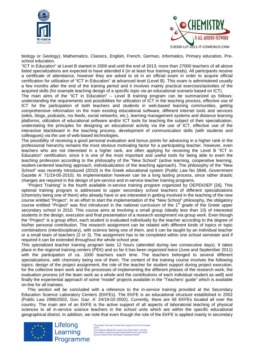



biology or Geology), Mathematics, Classics, English, French, German, Informatics, Primary education, Preschool education.

"ICT in Education" at Level B started in 2009 and until the end of 2013, more than 27000 teachers of all above listed specializations are expected to have attended it (in at least four training periods). All participants receive a certificate of attendance, however they are asked to sit in an official exam in order to acquire official certification for utilization of "ICT in Education" at advanced level (Level B). This exam is administered usually a few months after the end of the training period and it involves mainly practical exercises/activities of the acquired skills (for example teaching design of a specific topic via an educational scenario based on ICT).

The main aims of the "ICT in Education" – Level B training program can be summarized as follows: understanding the requirements and possibilities for utilization of ICT in the teaching process, effective use of ICT for the participation of both teachers and students in web-based learning communities, getting comprehensive information on the main existing educational software, different internet tools and services (wikis, blogs, podcasts, rss feeds, social networks, etc.), learning management systems and distance learning platforms, utilization of educational software and/or ICT tools for teaching the subject of their specialization, understating the principles for designing an educational activity via the use of ICT, effective use of the interactive blackboard in the teaching process, development of communication skills (with students and colleagues) via the use of web-based technologies.

The possibility of receiving a good personal evaluation and bonus points for advancing in a higher rank in the professional hierarchy remains the most obvious motivating factor for a participating teacher. However, even teachers who are not interested in a higher rank, are often applying for receiving the Level B "ICT in Education" certification, since it is one of the most important and useful tools for being able to exert the teaching profession according to the philosophy of the "New School" (active learning, cooperative learning, student-centered teaching approach, individualization of the teaching approach). The philosophy of the "New School" was recently introduced (2010) in the Greek educational system (Public Law No 3848, Government Gazette A' 71/19-05-2010). Its implementation however can be a long lasting process, since rather drastic changes are required in the design of pre-service and in-service teacher training programs.

"Project Training" is the fourth available in-service training program organized by OEPEK/IEP [26]. This optional training program is addressed to upper secondary school teachers of different specializations (chemistry being one of them) who already have or are interested in getting involved in the teaching of the new course entitled "Project". In an effort to start the implementation of the "New School" philosophy, the obligatory course entitled "Project" was first introduced in the national curriculum of the 1<sup>st</sup> grade of the Greek upper secondary school in 2010. This course aims at involving a small group (ideally less than 10) of interested students in the design, execution and final presentation of a research assignment via group work. Even though the "Project" is a group effort, each student is evaluated individually by the teacher according to the degree of his/her personal contribution. The research assignment can be related with different kinds of topics or topic combinations (interdisciplinary), with science being one of them, and it can be taught by an individual teacher or a small team of teachers (2 or 3). The assignment has to be completed within one school semester and if required it can be extended throughout the whole school year.

This specialized teacher training program lasts 12 hours (attended during two consecutive days). It takes place in the regional training centers (PEK) and so far it has been organized twice (June and September 2011) with the participation of ca. 1000 teachers each time. The teachers belonged to several different specializations, with chemistry being one of them. The content of the training course involves the following topics: design of the project assignment, the role of the teacher for student support during project execution, for the collective team work and the processes of implementing the different phases of the research work, the evaluation process (of the team work as a whole and the contributions of each individual student as well) and finally the experiential approach of some "model" projects available in the "Teachers' guide" which is available on-line for all trainees.

This section will be concluded with a reference to the in-service training provided at the Secondary Education Science Laboratory Centers (EKFEs). The EKFE is an educational structure established in 2002 (Public Law 2986/2002, Gov. Gaz. A' 24/19-02-2002). Currently, there are 58 EKFEs located all over the country. The main aim of an EKFE is the active support of all aspects of laboratorial teaching of physical sciences to all in-service science teachers in the school units which are within the specific educational geographical district. In addition, we note that even though the role of the EKFE is applied mainly in secondary



Lifelong Learning Programme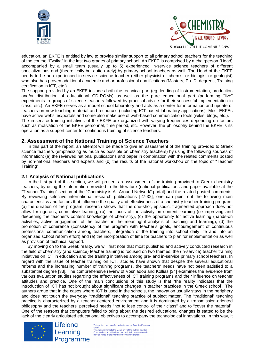



education, an EKFE is entitled by law to provide similar support to all primary school teachers for the teaching of the course "Fysika" in the last two grades of primary school. An EKFE is comprised by a chairperson (Head) accompanied by a small team (usually up to 5) experienced in-service science teachers of different specializations and (theoretically but quite rarely) by primary school teachers as well. The Head of the EKFE needs to be an experienced in-service science teacher (either physicist or chemist or biologist or geologist) who also has proven additional academic and or professional qualifications (Masters, Ph. D. degrees, Training certification in ICT, etc.).

The support provided by an EKFE includes both the technical part (eg. lending of instrumentation, production and/or distribution of educational CD-ROMs) as well as the pure educational part (performing "live" experiments to groups of science teachers followed by practical advice for their successful implementation in class, etc.). An EKFE serves as a model school laboratory and acts as a center for information and update of teachers on new teaching material and resources (including ICT based laboratory applications). Most EKFEs have active websites/portals and some also make use of web-based communication tools (wikis, blogs, etc.).

The in-service training initiatives of the EKFE are organized with varying frequencies depending on factors such as motivation of the EKFE personnel, time period, etc. However, the philosophy behind the EKFE is its operation as a support center for continuous training of science teachers.

### **2. Assessment of the National Training of Science Teachers**

In this part of the report, an attempt will be made to give an assessment of the training provided to Greek science teachers (emphasizing as much as possible on chemistry teachers) by using the following sources of information: (a) the reviewed national publications and paper in combination with the related comments posted by non-national teachers and experts and (b) the results of the national workshop on the topic of "Teacher Training".

#### **2.1 Analysis of National publications**

In the first part of this section, we will present an assessment of the training provided to Greek chemistry teachers, by using the information provided in the literature (national publications and paper available at the "Teacher Training" section of the "Chemistry is All Around Network" portal) and the related posted comments. By reviewing selective international research publications [27-32], one can point out the following main characteristics and factors that influence the quality and effectiveness of a chemistry teacher training program: (a) the duration of the program; research shows that the one-shot, episodic, fragmented approach does not allow for rigorous, cumulative learning, (b) the focus of the activity on content learning (i.e improving and deepening the teacher's content knowledge of chemistry), (c) the opportunity for active learning (hands-on activities, active engagement of the teacher in the meaningful analysis of teaching and learning), (d) the promotion of coherence (consistency of the program with teacher's goals, encouragement of continuous professional communication among teachers, integration of the training into school daily life and into an organized school reform effort) and (e) the incorporation of time for teachers to plan for implementation as well as provision of technical support.

By moving on to the Greek reality, we will first note that most published and actively conducted research in the field of chemistry (and science) teacher training is focused on two themes: the (in-service) teacher training initiatives on ICT in education and the training initiatives among pre- and in-service primary school teachers. In regard with the issue of teacher training on ICT, studies have shown that despite the several educational reforms and the increasing number of training programs, the teachers' needs have not been satisfied to a substantial degree [33]. The comprehensive review of Vosniadou and Kollias [34] examines the evidence from various evaluation studies regarding the effectiveness of ICT training programs and their influence on teacher attitudes and practice. One of the main conclusions of this study is that "the reality indicates that the introduction of ICT has not brought about significant changes in teacher practices in the Greek school". The authors argue that in the cases where ICT is used in the schools, the innovation usually stays in the periphery and does not touch the everyday "traditional" teaching practice of subject matter. The "traditional" teaching practice is characterized by a teacher-centered environment and it is dominated by a transmission-oriented philosophy and the teachers' perceived needs "not to lose control of their class" and to "cover the material". One of the reasons that computers failed to bring about the desired educational changes is stated to be the lack of the clearly articulated educational objectives to accompany the technological innovations. In this way, it

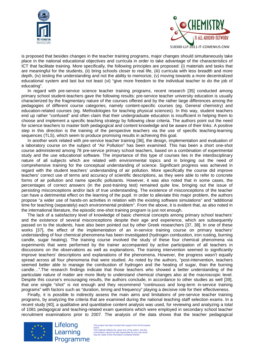



is proposed that besides changes in the teacher training programs, major changes should simultaneously take place in the national educational objectives and curricula in order to take advantage of the characteristics of ICT that facilitate training. More specifically, the following principles are proposed: (i) materials and tasks that are meaningful for the students, (ii) bring schools closer to real life, (iii) curricula with less breadth and more depth, (iv) testing the understanding and not the ability to memorize, (v) moving towards a more decentralized educational system and last but not least (vi) "give more freedom to the individual teacher to do the job of educating".

In regard with pre-service science teacher training programs, recent research [35] conducted among primary school student-teachers gave the following results: pre-service teacher university education is usually characterized by the fragmentary nature of the courses offered and by the rather large differences among the pedagogies of different course categories, namely content-specific courses (eg. General chemistry) and education-related courses (eg. Methodologies for teaching physical sciences). In this way, student teachers end up rather "confused" and often claim that their undergraduate education is insufficient in helping them to choose and implement a specific teaching strategy by following clear criteria. The authors point out the need for science teachers to master both pedagogical and content knowledge and be aware of their links. A positive step in this direction is the training of the perspective teachers via the use of specific teaching-learning sequences (TLS), which seem to produce promising results in achieving this goal.

In another work related with pre-service teacher training [36], the design, implementation and evaluation of a laboratory course on the subject of "Air Pollution" has been examined. This has been a short one-shot course administered among 78 pre-service primary school teachers, based on a combination of experimental study and the use educational software. The importance of this type of courses lies in the interdisciplinary nature of all subjects which are related with environmental topics and in bringing out the need of comprehensive training for the conceptual understanding of science. Significant progress was achieved in regard with the student teachers' understanding of air pollution. More specifically the course did improve teachers' correct use of terms and accuracy of scientific descriptions, as they were able to refer to concrete forms of air pollution and name specific pollutants. However, it was also noted that in some cases, the percentages of correct answers (in the post-training test) remained quite low, bringing out the issue of persisting misconceptions and/or lack of true understanding. The existence of misconceptions of the teacher can have a detrimental effect on the learning of the pupil. In order to alleviate this major problem, the authors propose "a wider use of hands-on activities in relation with the existing software simulations" and "additional time for teaching (separately) each environmental problem". From the above, it is evident that, as also noted in the international literature, the episodic one-shot training program is just not enough.

The lack of a satisfactory level of knowledge of basic chemical concepts among primary school teachers' and the existence of several misconceptions despite their age and experience, which are subsequently passed on to the students, have also been pointed out by other Greek researchers [37, 38]. In one of these works [37], the effect of the implementation of an in-service training course on primary teachers' understanding of four chemical phenomena has been investigated (hydrogen combustion, iron rusting, burning candle, sugar heating). The training course involved the study of these four chemical phenomena via experiments that were performed by the trainer accompanied by active participation of all teachers in discussions on the observations as well as explanations. The training intervention seemed to significantly improve teachers' descriptions and explanations of the phenomena. However, the progress wasn't equally spread across all four phenomena that were studied. As noted by the authors, "post-intervention, teachers seemed better able to manage the combustion of hydrogen and the heating of sugar, than the burning candle…".The research findings indicate that those teachers who showed a better understanding of the particulate nature of matter are more likely to understand chemical changes also at the macroscopic level. Despite this course's encouraging results, the authors conclude, in accordance to other studies as well [39], that one single "shot" is not enough and they recommend "continuous and long-term in-service training programs" with factors such as "duration, timing and frequency" playing a decisive role for their effectiveness.

Finally, it is possible to indirectly assess the main aims and limitations of pre-service teacher training programs, by analyzing the criteria that are examined during the national teaching staff selection exams. In a recent study [40], a qualitative and quantitative content analysis was used, for reviewing and analyzing a total of 1081 pedagogical and teaching-related exam questions which were employed in secondary school teacher recruitment examinations prior to 2007. The analysis of the data shows that the teacher pedagogical



Lifelong

Learning

Programme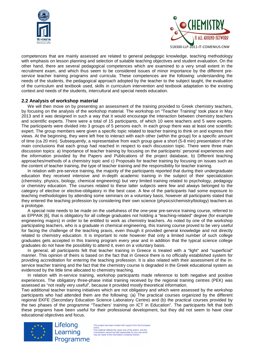



competences that are mainly assessed are related to general pedagogic knowledge, teaching methodology with emphasis on lesson planning and selection of suitable teaching objectives and student evaluation. On the other hand, there are several pedagogical competences which are examined to a very small extent in the recruitment exam, and which thus seem to be considered issues of minor importance by the different preservice teacher training programs and curricula. These competences are the following: understanding the needs of the students, the pedagogical approach adopted by the teacher to the subject taught, the evaluation of the curriculum and textbook used, skills in curriculum intervention and textbook adaptation to the existing context and needs of the students, intercultural and special needs education.

#### **2.2 Analysis of workshop material**

We will then move on by presenting an assessment of the training provided to Greek chemistry teachers, by focusing on the analysis of the workshop material. The workshop on "Teacher Training" took place in May 2013 and it was designed in such a way that it would encourage the interaction between chemistry teachers and scientific experts. There were a total of 15 participants, of which 10 were teachers and 5 were experts. The participants were divided into 3 groups of 5 persons each. In each group there was at least one scientific expert. The group members were given a specific topic related to teacher training to think on and express their views. At the beginning, they were left free to interact with each other (within the group) for a specific amount of time (ca 20 min). Subsequently, a representative from each group gave a short (5-8 min) presentation of the main conclusions that each group had reached in respect to each discussion topic. There were three main discussion topics: a) Importance of teacher training by focusing on the participants' personal experiences and the information provided by the Papers and Publications of the project database, b) Different teaching approaches/methods of a chemistry topic and c) Proposals for teacher training by focusing on issues such as the content of teacher training, the type of teacher training and the responsibility for teacher training.

In relation with pre-service training, the majority of the participants reported that during their undergraduate education they received intensive and in-depth academic training in the subject of their specialization (chemistry. physics, biology, chemical engineering) but very limited training related to psychology, pedagogy or chemistry education. The courses related to these latter subjects were few and always belonged to the category of elective or elective-obligatory in the best case. A few of the participants had some exposure to teaching methodologies by attending some seminars on a voluntary basis, however all participants stated that they entered the teaching profession by considering their own science (physics/chemistry/biology) teachers as a prototype.

A special note needs to be made on the usefulness of the one-year pre-service training course, referred to as EPPAIK [6], that is obligatory for all college graduates not holding a "teaching-related" degree (for example engineering majors) in order to be entitled to work as chemistry teachers. As noted by one of the workshop participating teachers, who is a graduate in chemical engineering, this training course proved to be very useful for facing the challenge of the teaching praxis, even though it provided general knowledge and not directly related to chemistry education. It is important to note however that only a limited number of such college graduates gets accepted in this training program every year and in addition that the typical science college graduates do not have the possibility to attend it, even on a voluntary basis.

In general, all participants felt that teacher training in Greece is treated with a "light" and "superficial" manner. This opinion of theirs is based on the fact that in Greece there is no officially established system for providing accreditation for entering the teaching profession. It is also related with their assessment of the inservice teacher training and the fact that the chemistry course is degraded in the Greek educational system as evidenced by the little time allocated to chemistry teaching.

In relation with in-service training, workshop participants made reference to both negative and positive experiences. The obligatory three-phase initial training received by the regional training centres (PEK) was assessed as "not really very useful", because it provided mostly theoretical information.

Two additional teacher training initiatives which are not obligatory and which were assessed by the workshop participants who had attended them are the following: (a) The practical courses organized by the different regional EKFE (Secondary Education Science Laboratory Centre) and (b) the practical courses provided by the two phases of the programme "Teachers' training on ICT in Education". The participants felt that both these programs have been useful for their professional development, but they did not seem to have clear educational objectives and focus.



Lifelong Learning Programme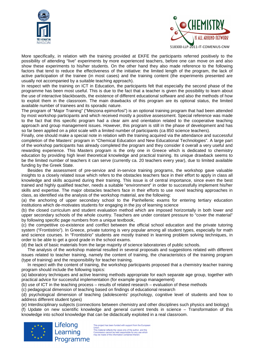



More specifically, in relation with the training provided at EKFE the participants referred positively to the possibility of attending "live" experiments by more experienced teachers, before one can move on and also show these experiments to his/her students. On the other hand they also made reference to the following factors that tend to reduce the effectiveness of the initiative: the limited length of the program, the lack of active participation of the trainee (in most cases) and the training content (the experiments presented are usually not accompanied by a suitable teaching approach).

In respect with the training on ICT in Education, the participants felt that especially the second phase of the programme has been most useful. This is due to the fact that a teacher is given the possibility to learn about the use of interactive blackboards, the existence of different educational software and also the methods of how to exploit them in the classroom. The main drawbacks of this program are its optional status, the limited available number of trainees and its sporadic nature.

The program of "Major Training" ("Meizona epimorfosi") is an optional training program that had been attended by most workshop participants and which received mostly a positive assessment. Special reference was made to the fact that this specific program had a clear aim and orientation related to the cooperative teaching approach and group management issues. However, this program is still in the phase of development and has so far been applied on a pilot scale with a limited number of participants (ca 850 science teachers).

Finally, one should make a special note in relation with the training acquired via the attendance and successful completion of the Masters' program in "Chemical Education and New Educational Technologies". A large part of the workshop participants has already completed the program and they consider it overall a very useful and rewarding experience. This Masters program is the only one in Greece which is dedicated to chemistry education by providing high level theoretical knowledge and practical training. Its unique drawback seems to be the limited number of teachers it can serve (currently ca. 20 teachers every year), due to limited available funding by the Greek State.

Besides the assessment of pre-service and in-service training programs, the workshop gave valuable insights to a closely related issue which refers to the obstacles teachers face in their effort to apply in class all knowledge and skills acquired during their training. This issue is of central importance, since even the best trained and highly qualified teacher, needs a suitable "environment" in order to successfully implement his/her skills and expertise. The major obstacles teachers face in their efforts to use novel teaching approaches in class, as identified via the analysis of the workshop material, are the following:

(a) the anchoring of upper secondary school to the Panhellenic exams for entering tertiary education institutions which de-motivates students for engaging in the joy of learning science

(b) the closed curriculum and student evaluation method which are imposed horizontally in both lower and upper secondary schools of the whole country. Teachers are under constant pressure to "cover the material" by following specific page numbers from a unique textbook,

(c) the competitive co-existence and conflict between the official school education and the private tutoring system ("Frontistirio"). In Greece, private tutoring is very popular among all student types, especially for math and science courses. In "Frontistirio" students are mostly trained in learning problem solving techniques, in order to be able to get a good grade in the school exams.

(d) the lack of basic materials from the large majority of science laboratories of public schools.

The analysis of the workshop material resulted in several proposals and suggestions related with different issues related to teacher training, namely the content of training, the characteristics of the training program (type of training) and the responsibility for teacher training.

In respect with the content of training, the workshop participants proposed that a chemistry teacher training program should include the following topics:

(a) laboratory techniques and active learning methods appropriate for each separate age group, together with practical advice for successful implementation (for example group management)

(b) use of ICT in the teaching process – results of related research – evaluation of these methods

(c) pedagogical dimension of teaching based on findings of educational research

(d) psychological dimension of teaching (adolescents' psychology, cognitive level of students and how to address different student types)

(e) Interdisciplinary subjects (connections between chemistry and other disciplines such physics and biology)

(f) Update on new scientific knowledge and general current trends in science – Transformation of this knowledge into school knowledge that can be didactically exploited in a real classroom.



Programme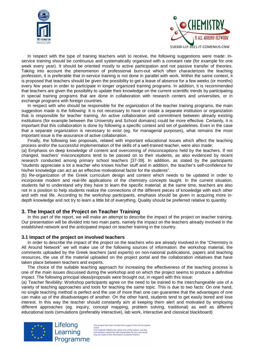



In respect with the type of training teachers wish to receive, the following suggestions were made: Inservice training should be continuous and systematically organized with a constant rate (for example for one week every year). It should be oriented mostly to active participation and not passive transfer of theories. Taking into account the phenomenon of professional burn-out which often characterizes the teaching profession, it is preferable that in-service training is not done in parallel with work. Within the same context, it is proposed that teachers should be given the possibility to get a leave of absence for a few weeks (or months) every few years in order to participate in longer organized training programs. In addition, it is recommended that teachers are given the possibility to update their knowledge on the current scientific trends by participating in special training programs that are done in collaboration with research centers and universities, or in exchange programs with foreign countries.

In respect with who should be responsible for the organization of the teacher training programs, the main suggestion made is the following: It is not necessary to have or create a separate institution or organization that is responsible for teacher training. An active collaboration and commitment between already existing institutions (for example between the University and School domains) could be more effective. Certainly, it is important that this collaboration is done by following a specific context and set of guidelines. Even in the case that a separate organization is necessary to exist (eg. for managerial purposes), what remains the most important issue is the assurance of active collaboration.

Finally, the following two proposals, related with important educational issues which affect the teaching process and/or the successful implementation of the skills of a well-trained teacher, were also made:

(a) Emphasis on deep knowledge of content and overcoming of misconceptions held by the teachers. If not changed, teachers' misconceptions tend to be passed on to their students, as also evidenced by recent research conducted among primary school teachers [37-39]. In addition, as stated by the participants "students appreciate a lot a teacher who knows his/her stuff and in addition, the teacher's self-confidence for his/her knowledge can act as an effective motivational factor for the students".

(b) Re-organization of the Greek curriculum design and content which needs to be updated in order to incorporate modern and real-life applications of the chemistry concepts taught. In the current situation, students fail to understand why they have to learn the specific material; at the same time, teachers are also not in a position to help students realize the connections of the different pieces of knowledge with each other and with real life. According to the workshop participants, emphasis should be given in acquiring more indepth knowledge and not try to learn a little bit of everything. Quality should be preferred relative to quantity.

#### **3. The Impact of the Project on Teacher Training**

In this part of the report, we will make an attempt to describe the impact of the project on teacher training. Our presentation will be divided into two main parts, namely the impact on the teachers already involved in the established network and the anticipated impact on teacher training in the country.

#### **3.1 Impact of the project on involved teachers**

In order to describe the impact of the project on the teachers who are already involved in the "Chemistry is All Around Network" we will make use of the following sources of information: the workshop material, the comments uploaded by the Greek teachers (and experts) on non-national publications, papers and teaching resources, the use of the material uploaded on the project portal and the collaboration initiatives that have taken place between teachers and experts.

The choice of the suitable teaching approach for increasing the effectiveness of the teaching process is one of the main issues discussed during the workshop and on which the project seems to produce a definitive impact. The following principal ideas/proposals were brought out, in regard with this issue:

(a) Teacher flexibility: Workshop participants agree on the need to be trained to the interchangeable use of a variety of teaching approaches and tools for teaching the same topic. This is due to two facts: On one hand, no single teaching method is perfect and the use of more than one can guarantee that the advantages of one can make up of the disadvantages of another. On the other hand, students tend to get easily bored and lose interest. In this way the teacher should constantly aim at keeping them alert and motivated by employing different approaches (eg. inquiry, concept mapping, problem solving, traditional) as well as different educational tools (simulations (preferably interactive), lab work, interactive and classical blackboard)

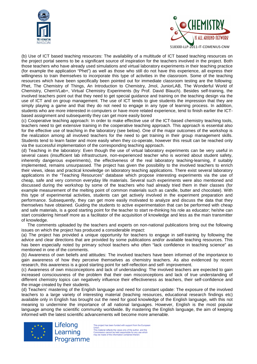



(b) Use of ICT based teaching resources: The availability of a multitude of ICT based teaching resources on the project portal seems to be a significant source of inspiration for the teachers involved in the project. Both those teachers who have already used simulations and virtual laboratory experiments in their teaching practice (for example the application "Phet") as well as those who still do not have this experience, all express their willingness to train themselves to incorporate this type of activities in the classroom. Some of the teaching resources which have been specifically been pointed out for immediate classroom testing are the following: Phet, The Chemistry of Things, An Introduction to Chemistry, Jmol, JuniorLAB, The Wonderful World of Chemistry, ChemVLab+, Virtual Chemistry Experiments (by Prof. David Blauch). Besides self-training, the involved teachers point out that they need to get special guidance and training on the teaching design via the use of ICT and on group management. The use of ICT tends to give students the impression that they are simply playing a game and that they do not need to engage in any type of learning process. In addition, students who are more interested in computers or have more related experience, tend to finish earlier the ICTbased assignment and subsequently they can get more easily bored

(c) Cooperative teaching approach: In order to make effective use of the ICT-based chemistry teaching tools, teachers need to get extensive training in the cooperative teaching approach. This approach is essential also for the effective use of teaching in the laboratory (see below). One of the major outcomes of the workshop is the realization among all involved teachers for the need to get training in their group management skills. Students tend to learn faster and more easily when they co-operate, however this result can be reached only via the successful implementation of the corresponding teaching approach.

(d) Teaching in the laboratory: Even though the use of virtual laboratory experiments can be very useful in several cases (insufficient lab infrastructure, non-experienced teacher who is worried about student safety, inherently dangerous experiments), the effectiveness of the real laboratory teaching-learning, if suitably implemented, remains unsurpassed. The project has given the possibility to the involved teachers to enrich their views, ideas and practical knowledge on laboratory teaching applications. There exist several laboratory applications in the "Teaching Resources" database which propose interesting experiments via the use of cheap, safe and very common everyday life materials. Several such experiments were also mentioned and discussed during the workshop by some of the teachers who had already tried them in their classes (for example measurement of the melting point of common materials such as candle, butter and chocolate). With this type of experimental activities, students can get actively involved in the experiment preparation and performance. Subsequently, they can get more easily motivated to analyze and discuss the data that they themselves have obtained. Guiding the students to active experimentation that can be performed with cheap and safe materials, is a good starting point for the teacher to start re-thinking his role as educator; he/she can start considering himself more as a facilitator of the acquisition of knowledge and less as the main transmitter of knowledge.

The comments uploaded by the teachers and experts on non-national publications bring out the following issues on which the project has produced a considerable impact:

(a) The project has provided a unique opportunity for teachers to engage in self-training by following the advice and clear directions that are provided by some publications and/or available teaching resources. This has been especially noted by primary school teachers who often "lack confidence in teaching science" as mentioned in one of the comments.

(b) Awareness of own beliefs and attitudes: The involved teachers have been informed of the importance to gain awareness of how they perceive themselves as chemistry teachers. As also evidenced by recent research, this awareness is a good starting point for self-reflection and self- improvement.

(c) Awareness of own misconceptions and lack of understanding: The involved teachers are expected to gain increased consciousness of the problem that their own misconceptions and lack of true understanding of different chemistry topics can negatively influence their effectiveness as teachers, their self-confidence and the image created by their students.

(d) Teachers' mastering of the English language and need for constant update: The exposure of the involved teachers to a large variety of interesting material (teaching resources, educational research findings etc) available only in English has brought out the need for good knowledge of the English language, with this not meaning to undermine the importance of all national languages. However, English is the most popular language among the scientific community worldwide. By mastering the English language, the aim of keeping informed with the latest scientific advancements will become more amenable.



Lifelong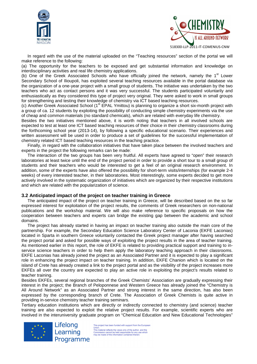



In regard with the use of the material uploaded on the "Teaching resources" section of the portal we will make reference to the following:

(a) The opportunity for the teachers to be exposed and get substantial information and knowledge on interdisciplinary activities and real life chemistry applications.

(b) One of the Greek Associated Schools who have officially joined the network, namely the 1<sup>st</sup> Lower Secondary School of Ilioupoli, has exploited several teaching resources available in the portal database via the organization of a one-year project with a small group of students. The initiative was undertaken by the two teachers who act as contact persons and it was very successful. The students participated voluntarily and enthusiastically as they considered this type of project very original. They were asked to work in small groups for strengthening and testing their knowledge of chemistry via ICT based teaching resources.

(c) Another Greek Associated School (1<sup>st</sup> EPAL Ymittou) is planning to organize a short six-month project with a group of ca. 12 students by exploiting the possibility of conducting simple chemistry experiments via the use of cheap and common materials (no standard chemicals), which are related with everyday life chemistry.

Besides the two initiatives mentioned above, it is worth noting that teachers in all involved schools are expected to test at least one ICT based teaching resources of their choice in their chemistry classrooms during the forthcoming school year (2013-14), by following a specific educational scenario. Their experiences and written assessment will be used in order to produce a set of guidelines for the successful implementation of chemistry related ICT based teaching resources in the teaching practice.

Finally, in regard with the collaboration initiatives that have taken place between the involved teachers and experts in the project the following remarks can be made:

The interaction of the two groups has been very fruitful. All experts have agreed to "open" their research laboratories at least twice until the end of the project period in order to provide a short tour to a small group of students and their teachers who would be interested to get a feel of an original research environment. In addition, some of the experts have also offered the possibility for short-term visits/internships (for example 2-4 weeks) of every interested teacher, in their laboratories. Most interestingly, some experts decided to get more actively involved in the systematic organization of initiatives which are organized by their respective institutions and which are related with the popularization of science.

#### **3.2 Anticipated impact of the project on teacher training in Greece**

The anticipated impact of the project on teacher training in Greece, will be described based on the so far expressed interest for exploitation of the project results, the comments of Greek researchers on non-national publications and the workshop material. We will also make reference to specific proposals on how the cooperation between teachers and experts can bridge the existing gap between the academic and school domains.

The project has already started in having an impact on teacher training also outside the main core of the partnership. For example, the Secondary Education Science Laboratory Center of Laconia (EKFE Laconias) located in Sparta in southern Greece voluntarily contacted the Greek project manager after having searched the project portal and asked for possible ways of exploiting the project results in the area of teacher training. As mentioned earlier in this report, the role of EKFE is related to providing practical support and training to inservice science teachers in order to help them apply the laboratory teaching approach in their classrooms. EKFE Laconias has already joined the project as an Associated Partner and it is expected to play a significant role in enhancing the project impact on teacher training. In addition, EKFE Chanion which is located on the island of Crete has already created a link to the project portal and as the visibility of the project increases more EKFEs all over the country are expected to play an active role in exploiting the project's results related to teacher training.

Besides EKFEs, several regional branches of the Greek Chemists' Association are gradually expressing their interest in the project; the Branch of Peloponnese and Western Greece has already joined the "Chemistry is All Around Network" as an Associated Partner and strong interest in the same direction, has also been expressed by the corresponding branch of Crete. The Association of Greek Chemists is quite active in providing in-service chemistry teacher training seminars.

Tertiary education institutions which are directly or indirectly connected to chemistry (and science) teacher training are also expected to exploit the relative project results. For example, scientific experts who are involved in the interuniversity graduate program on "Chemical Education and New Educational Technologies"

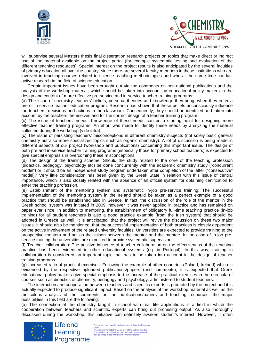



will supervise several Masters thesis final dissertation research projects on topics that make direct or indirect use of the material available on the project portal (for example systematic testing and evaluation of the different teaching resources). Special interest on the project results is also anticipated by the several faculties of primary education all over the country, since there are several faculty members in these institutions who are involved in teaching courses related to science teaching methodologies and who at the same time conduct active research in the field of science education.

Certain important issues have been brought out via the comments on non-national publications and the analysis of the workshop material, which should be taken into account by educational policy makers in the design and content of more effective pre-service and in-service teacher training programs:

(a) The issue of chemistry teachers' beliefs, personal theories and knowledge they bring, when they enter a pre or in-service teacher education program: Research has shown that these beliefs unconsciously influence the teachers' decisions and actions in the classroom. Consequently, they should be identified and taken into account by the teachers themselves and for the correct design of a teacher training program.

(c) The issue of teachers' needs: Knowledge of these needs can be a starting point for designing more effective teacher training programs. An effort was made to identify these needs by analyzing the material collected during the workshop (vide infra).

(c) The issue of persisting teachers' misconceptions in different chemistry subjects (not solely basic general chemistry but also more specialized topics such as organic chemistry). A lot of discussion is being made in different aspects of our project (workshop and publications) concerning this important issue. The design of both pre and in-service teacher training programs (especially those for primary school teachers) is expected to give special emphasis in overcoming these misconceptions.

(d) The design of the training scheme: Should the study related to the core of the teaching profession (didactics, pedagogy, psychology etc) be done concurrently with the academic chemistry study ("concurrent model") or it should be an independent study program undertaken after completion of the latter ("consecutive" model)? Very little consideration has been given by the Greek State in relation with this issue of central importance, which is also closely related with the absence of an official system for obtaining certification to enter the teaching profession.

(e) Establishment of the mentoring system and systematic in-job pre-service training: The successful implementation of the mentoring system in the Ireland should be taken as a perfect example of a good practice that should be established also in Greece. In fact, the discussion of the role of the mentor in the Greek school system was initiated in 2009, however it was never applied in practice and has remained on paper ever since. In addition to mentoring, the establishment of obligatory full-time teaching practice (in-job training) for all student teachers is also a good practice example (from the Irish system) that should be adopted in Greece as well. It is anticipated, that the project will revive the discussion on these two major issues. It should also be mentioned, that the successful implementation of both practices is closely dependent on the active involvement of the related university faculties. Universities are expected to provide training to the prospective mentors and act as the liaison between the mentor and the mentee. In the case of in-job preservice training the universities are expected to provide systematic supervision.

(f) Teacher collaboration: The positive influence of teacher collaboration on the effectiveness of the teaching practice has been evidenced in other educational systems (eg. in Portugal). In this way, training in collaboration is considered an important topic that has to be taken into account in the design of teacher training programs.

(g) Increased ratio of practical exercises: Following the example of other countries (Poland, Ireland) which is evidenced by the respective uploaded publications/papers (and comments), it is expected that Greek educational policy makers give special emphasis to the increase of the practical exercises in the curricula of courses such as didactics of chemistry, pedagogy and psychology, administered to student teachers.

The interaction and cooperation between teachers and scientific experts is promoted by the project and it is actually expected to produce significant impact. Based on the analysis of the workshop material as well as the meticulous analysis of the comments on the publications/papers and teaching resources, the major possibilities in this field are the following:

(a) The connection of the chemistry taught in school with real life applications is a field in which the cooperation between teachers and scientific experts can bring out promising output. As also thoroughly discussed during the workshop, this initiative can definitely awaken student's interest. However, it often

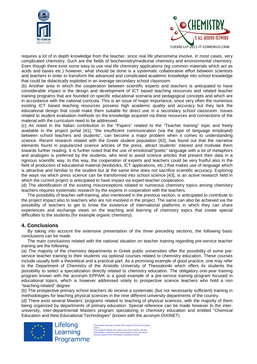



518300-LLP-2011-IT-COMENIUS-CNW

requires a lot of in depth knowledge from the teacher, since real life phenomena involve, in most cases, very complicated chemistry. Such are the fields of biochemistry/medicinal chemistry and environmental chemistry. Even though there exist some easy to use real life chemistry applications (eg common materials which act as acids and bases etc.) however, what should be done is a systematic collaborative effort between scientists and teachers in order to transform the advanced and complicated academic knowledge into school knowledge that could be didactically exploited in an average secondary school classroom.

(b) Another area in which the cooperation between scientific experts and teachers is anticipated to have considerable impact is the design and development of ICT based teaching resources and related teacher training programs that are founded on specific educational scenaria and pedagogical concepts and which are in accordance with the national curricula. This is an issue of major importance, since very often the numerous existing ICT based teaching resources possess high academic quality and accuracy but they lack the educational design that could make them suitable for direct use in a secondary school classroom. Issues related to student evaluation methods on the knowledge acquired via these resources and connections of the material with the curriculum need to be addressed.

(c) As noted in the Italian contribution in the "Papers" related to the "Teacher training" topic and freely available in the project portal [41], "the insufficient communication (via the type of language employed) between school teachers and students", can become a major problem when it comes to understanding science. Recent research related with the Greek student population [42], has found out that the narrative elements found in popularized science articles of the press, attract students' interest and motivate them towards further reading. It is further noted that the use of emotional/"poetic" language with a lot of metaphors and analogies is preferred by the students, who tend to avoid science articles that present their data in a rigorous scientific way. In this way, the cooperation of experts and teachers could be very fruitful also in the field of production of educational material (textbooks, ICT applications, etc.) that makes use of language which is attractive and familiar to the student but at the same time does not sacrifice scientific accuracy. Exploring the ways via which press science can be transformed into school science [43], is an active research field in which the current project is anticipated to have impact via expert-teacher cooperation.

(d) The identification of the existing misconceptions related to numerous chemistry topics among chemistry teachers requires systematic research by the experts in cooperation with the teachers.

The possibility of teacher self-training, also mentioned in the previous section, is anticipated to contribute to the project impact also to teachers who are not involved in the project. The same can also be achieved via the possibility of teachers to get to know the existence of international platforms in which they can share experiences and exchange views on the teaching and learning of chemistry topics that create special difficulties to the students (for example organic chemistry).

# **4. Conclusions**

By taking into account the extensive presentation of the three preceding sections, the following basic conclusions can be made.

The main conclusions related with the national situation on teacher training regarding pre-service teacher training are the following:

(a) The majority of the chemistry departments in Greek public universities offer the possibility of some preservice teacher training to their students via optional courses related to chemistry education. These courses include usually both a theoretical and a practical part. As a promising example of good practice, one may refer to the Department of Chemistry of the Aristotle University of Thessaloniki which offers its students the possibility to select a specialization directly related to chemistry education. The obligatory one-year training program known with the acronym EPPAIK is a good example of a pre-service training program focused in educational topics, which is however addressed solely to prospective science teachers who hold a non "teaching-related" degree

(b) The prospective primary school teachers do receive a systematic (but not necessarily sufficient) training in methodologies for teaching physical sciences in the nine different university departments of the country.

(d) There exist several Masters' programs related to teaching of physical sciences, with the majority of them being organized by departments of primary education. Special reference can be made however to the interuniversity, inter-departmental Masters program specializing in chemistry education and entitled "Chemical Education and New Educational Technologies" (known with the acronym DIXINET)

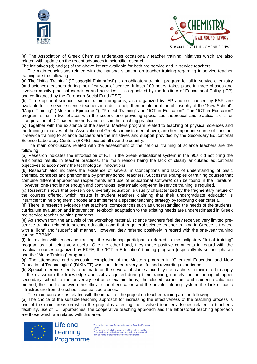



(e) The Association of Greek Chemists undertakes occasionally teacher training initiatives which are also related with update on the recent advances in scientific research.

The initiatives (d) and (e) of the above list are available for both pre-service and in-service teachers.

The main conclusions related with the national situation on teacher training regarding in-service teacher training are the following:

(a) The "Initial Training" ("Eisagogiki Epimorfosi") is an obligatory training program for all in-service chemistry (and science) teachers during their first year of service. It lasts 100 hours, takes place in three phases and involves mostly practical exercises and activities. It is organized by the Institute of Educational Policy (IEP) and co-financed by the European Social Fund (ESF).

(b) Three optional science teacher training programs, also organized by IEP and co-financed by ESF, are available for in-service science teachers in order to help them implement the philosophy of the "New School": "Major Training" ("Meizona Epimorfosi"), "Project Training" and "ICT in Education". The "ICT in Education" program is run in two phases with the second one providing specialized theoretical and practical skills for incorporation of ICT based methods and tools in the teaching practice.

(c) Together with the existence of the several Masters program related to teaching of physical sciences and the training initiatives of the Association of Greek chemists (see above), another important source of constant in-service training to science teachers are the initiatives and support provided by the Secondary Educational Science Laboratory Centers (EKFE) located all over the country.

The main conclusions related with the assessment of the national training of science teachers are the following:

(a) Research indicates the introduction of ICT in the Greek educational system in the '90s did not bring the anticipated results in teacher practices, the main reason being the lack of clearly articulated educational objectives to accompany the technological innovations.

(b) Research also indicates the existence of several misconceptions and lack of understanding of basic chemical concepts and phenomena by primary school teachers. Successful examples of training courses that combine different approaches (experiments and use of educational software) can be found in the literature. However, one-shot is not enough and continuous, systematic long-term in-service training is required.

(c) Research shows that pre-service university education is usually characterized by the fragmentary nature of the courses offered, which results in student teachers claiming that their undergraduate education is insufficient in helping them choose and implement a specific teaching strategy by following clear criteria.

(d) There is research evidence that teachers' competences such as understanding the needs of the students, curriculum evaluation and intervention, textbook adaptation to the existing needs are underestimated in Greek pre-service teacher training programs.

(e) As shown from the analysis of the workshop material, science teachers feel they received very limited preservice training related to science education and that in general science teacher training in Greece is treated with a "light" and "superficial" manner. However, they referred positively in regard with the one-year training course EPPAIK.

(f) In relation with in-service training, the workshop participants referred to the obligatory "Initial training" program as not being very useful. One the other hand, they made positive comments in regard with the practical courses organized by EKFE, the "ICT in Education" training program (especially its second phase) and the "Major Training" program.

(g) The attendance and successful completion of the Masters program in "Chemical Education and New Educational Technologies" (DIXINET) was considered a very useful and rewarding experience.

(h) Special reference needs to be made on the several obstacles faced by the teachers in their effort to apply in the classroom the knowledge and skills acquired during their training, namely the anchoring of upper secondary school to the university entrance examinations, the closed curriculum and student evaluation method, the conflict between the official school education and the private tutoring system, the lack of basic infrastructure from the school science laboratories.

The main conclusions related with the impact of the project on teacher training are the following:

(a) The choice of the suitable teaching approach for increasing the effectiveness of the teaching process is one of the main areas on which the project is affecting the involved teachers. Issues related to teacher's flexibility, use of ICT approaches, the cooperative teaching approach and the laboratorial teaching approach are those which are related with this area.

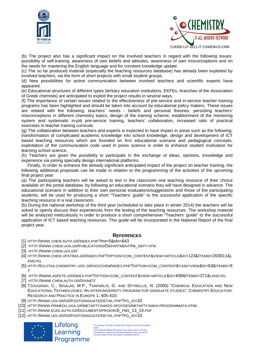



518300-LLP-2011-IT-COMENIUS-CNW

(b) The project also has a significant impact on the involved teachers in regard with the following issues: possibility of self-training, awareness of own beliefs and attitudes, awareness of own misconceptions and on the needs for mastering the English language and for constant knowledge update.

(c) The so far produced material (especially the teaching resources database) has already been exploited by involved teachers, via the form of short projects with small student groups.

(d) New possibilities for active communication between involved teachers and scientific experts have appeared.

(e) Educational structures of different types (tertiary education institutions, EKFEs, branches of the Association of Greek chemists) are anticipated to exploit the project results in several ways.

(f) The importance of certain issues related to the effectiveness of pre-service and in-service teacher training programs has been highlighted and should be taken into account by educational policy makers. These issues are related with the following: teachers' needs - beliefs and personal theories, persisting teachers' misconceptions in different chemistry topics, design of the training scheme, establishment of the mentoring system and systematic in-job pre-service training, teachers' collaboration, increased ratio of practical exercises in teacher training curricula.

(g) The collaboration between teachers and experts is expected to have impact in areas such as the following: transformation of complicated academic knowledge into school knowledge, design and development of ICT based teaching resources which are founded on firm educational scenaria and pedagogical concepts, exploitation of the communication code used in press science in order to enhance student motivation for learning school science.

(h) Teachers are given the possibility to participate in the exchange of ideas, opinions, knowledge and experience via joining specially design international platforms.

Finally, in order to enhance the already significant anticipated impact of the project on teacher training, the following additional proposals can be made in relation to the programming of the activities of the upcoming final project year:

(a) The participating teachers will be asked to test in the classroom one teaching resource of their choice available on the portal database, by following an educational scenario they will have designed in advance. The educational scenario in addition to their own personal evaluations/suggestions and those of the participating students, will be used for producing a short "Teachers' guide" to the successful application of the specific teaching resource in a real classroom.

(b) During the national workshop of the third year (scheduled to take place in winter 2014) the teachers will be asked to openly discuss their experiences from the testing of the teaching resources. The workshop material will be analyzed meticulously in order to produce a short comprehensive "Teachers' guide" to the successful application of ICT based teaching resources. This guide will be incorporated in the National Report of the final project year.

#### **REFERENCES**

[1] HTTP://WWW.CHEM.AUTH.GR/INDEX.PHP?RM=5&MN=643

[2] HTTP://WWW.CHEM.UOA.GR/PUBLICATIONS/DEPARTMENT/PB\_DEPT.HTM

- [3] HTTP://WWW.CHEM.UOI.GR/
- [4] HTTP://WWW.CHEM.UPATRAS.GR/INDEX.PHP?OPTION=COM\_CONTENT&VIEW=ARTICLE&ID=123&ITEMID=200011&L  $ANG=FI$
- [5] HTTP://EILOTAS.CHEMISTRY.UOC.GR/UOCCHEM/INDEX.PHP?OPTION=COM\_CONTENT&TASK=VIEW&ID=63&ITEMID=9 7
- [6] HTTP://WWW.ASPETE.GR/INDEX.PHP?OPTION=COM\_CONTENT&VIEW=ARTICLE&ID=408&ITEMID=371&LANG=EL
- [7] HTTP://WWW.CHEM.AUTH.GR/DIXINET/
- [8] TZOUGRAKI, C., SIGALAS, M.P., TSAPARLIS, G. AND SPYRELLIS, N. (2000) "CHEMICAL EDUCATION AND NEW EDUCATIONAL TECHNOLOGIES: AN INTERUNIVERSITY PROGRAM FOR GRADUATE STUDIES", CHEMISTRY EDUCATION: RESEARCH AND PRACTICE IN EUROPE 1, 405-410.
- [9] HTTP://WWW.UOI.GR/GR/POSTGRADUATE/DETAIL.PHP?PG\_ID=20
- [10] HTTP://WWW.PRIMEDU.UOA.GR/METAPTYXIAKES-SPOYDES/METAPTYXIAKA-PROGRAMMATA.HTML
- [11] HTTP://WWW.ELED.AUTH.GR/DOCUMENTS/PROKIRI3I\_PMS\_13\_14.PDF
- [12] HTTP://WWW.UOI.GR/GR/POSTGRADUATE/DETAIL.PHP?PG\_ID=33

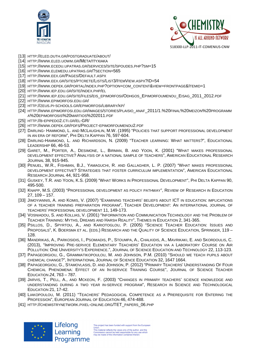



- [13] HTTP://ELED.DUTH.GR/POSTGRADUATE/ABOUT/
- [14] HTTP://WWW.ELED.UOWM.GR/ΜΕΤΑΠΤΥΧΙΑΚΑ
- [15] HTTP://WWW.ECEDU.UPATRAS.GR/SERVICES/SITE/SPOUDES.PHP?SM=15
- [16] HTTP://WWW.ELEMEDU.UPATRAS.GR/?SECTION=565
- [17] HTTP://WWW.EEX.GR/PAGES/DEFAULT.ASPX
- [18] HTTP://WWW.EEX.GR/SITES/PTCRETE/LISTS/LIST3/ITEMVIEW.ASPX?ID=54
- [19] HTTP://WWW.OEPEK.GR/PORTAL/INDEX.PHP?OPTION=COM\_CONTENT&VIEW=FRONTPAGE&ITEMID=1
- [20] HTTP://WWW.IEP.EDU.GR/SITE/INDEX.PHP/EL
- [21] HTTP://WWW.IEP.EDU.GR/SITE/FILES/EIS\_EPIMORFOSI/ODHGOS\_EPIMORFOUMENOU\_EISAG\_2011\_2012.PDF
- [22] HTTP://WWW.EPIMORFOSI.EDU.GR/
- [23] HTTP://ZEUS.PI-SCHOOLS.GR/EPIMORFOSI/LIBRARY/KP/
- [24] HTTP://WWW.EPIMORFOSI.EDU.GR/IMAGES/STORIES/PLAISIO\_ANAF\_2011/1.%20FINAL%20MEIZON%20PROGRAMM A%20EPIMORFOSIS%20MARTIOS%202011.PDF
- [25] HTTP://B-EPIPEDO2.CTI.GR/EL-GR/
- [26] HTTP://WWW.OEPEK.GR/PDFS/PROJECT-EPIMORFOUMENOU2.PDF
- [27] DARLING- HAMMOND, L. AND MCLAUGHLIN, M.W. (1995) "POLICIES THAT SUPPORT PROFESSIONAL DEVELOPMENT IN AN ERA OF REFORM", PHI DELTA KAPPAN 76, 597-604.
- [28] DARLING-HAMMOND, L. AND RICHARDSON, N. (2009) "TEACHER LEARNING: WHAT MATTERS?", EDUCATIONAL LEADERSHIP 66, 46-53.
- [29] GARET, M., PORTER, A., DESIMONE, L., BIRMAN, B. AND YOON, K. (2001) "WHAT MAKES PROFESSIONAL DEVELOPMENT EFFECTIVE? ANALYSIS OF A NATIONAL SAMPLE OF TEACHERS", AMERICAN EDUCATIONAL RESEARCH JOURNAL 38, 915-945.
- [30] PENUEL, W.R., FISHMAN, B.J., YAMAGUCHI, R. AND GALLAGHER, L. P. (2007) "WHAT MAKES PROFESSIONAL DEVELOPMENT EFFECTIVE? STRATEGIES THAT FOSTER CURRICULUM IMPLEMENTATION", AMERICAN EDUCATIONAL RESEARCH JOURNAL 44, 921-958.
- [31] GUSKEY, T.R. AND YOON, K.S. (2009) "WHAT WORKS IN PROFESSIONAL DEVELOPMENT", PHI DELTA KAPPAN 90, 495-500.
- [32] KNAPP, M.S. (2003) "PROFESSIONAL DEVELOPMENT AS POLICY PATHWAY", REVIEW OF RESEARCH IN EDUCATION 27, 109 – 157.
- [33] JIMOYIANNIS, A. AND KOMIS, V. (2007) "EXAMINING TEACEHRS' BELIEFS ABOUT ICT IN EDUCATION: IMPLICATIONS OF A TEACHER TRAINING PREPARATION PROGRAM", TEACHER DEVELOPMENT: AN INTERNATIONAL JOURNAL OF TEACHERS' PROFESSIONAL DEVELOPMENT 11, 149-173.
- [34] VOSNIADOU, S. AND KOLLIAS, V. (2001) "INFORMATION AND COMMUNICATION TECHNOLOGY AND THE PROBLEM OF TEACHER TRAINING: MYTHS, DREAMS AND HARSH REALITY", THEMES IN EDUCATION 2, 341-365.
- [35] PSILLOS, D., SPYRTOU, A., AND KARIOTOGLOU, P. (2005) "SCIENCE TEACHER EDUCATION: ISSUES AND PROPOSALS", K. BOERSMA ET AL. (EDS.) RESEARCH AND THE QUALITY OF SCIENCE EDUCATION, SPRINGER, 119 – 128.
- [36] MANDRIKAS, A., PARKOSIDIS, I., PSOMIADIS, P., STOUMPA, A., CHALKIDIS, A., MAVRIKAKI, E. AND SKORDOULIS, C. (2013), "IMPROVING PRE-SERVICE ELEMENTARY TEACHERS' EDUCATION VIA A LABORATORY COURSE ON AIR POLLUTION: ONE UNIVERSITY'S EXPERIENCE.", JOURNAL OF SCIENCE EDUCATION AND TECHNOLOGY 22, 113-123.
- [37] PAPAGEORGIOU, G., GRAMMATIKOPOULOU, M. AND JOHNSON, P.M. (2010) "SHOULD WE TEACH PUPILS ABOUT CHEMICAL CHANGE?", INTERNATIONAL JOURNAL OF SCIENCE EDUCATION 32, 1647 1664.
- [38] PAPAGEORGIOU, G., STAMOVLASIS, D. AND JOHNSON, P. (2012) "PRIMARY TEACHERS' UNDERSTANDING OF FOUR CHEMICAL PHENOMENA: EFFECT OF AN IN-SERVICE TRAINING COURSE", JOURNAL OF SCIENCE TEACHER EDUCATION 24, 763 – 787.
- [39] JARVIS, T., PELL, A., AND MCKEON, F. (2003) "CHANGES IN PRIMARY TEACHERS' SCIENCE KNOWLEDGE AND UNDERSTANDING DURING A TWO YEAR IN-SERVICE PROGRAM", RESEARCH IN SCIENCE AND TECHNOLOGICAL EDUCATION 21, 17-42.
- [40] LIAKOPOULOU, M. (2011) "TEACHERS' PEDAGOGICAL COMPETENCE AS A PREREQUISITE FOR ENTERING THE PROFESSION", EUROPEAN JOURNAL OF EDUCATION 46, 474-488.
- [41] HTTP://CHEMISTRYNETWORK.PIXEL-ONLINE.ORG/TET\_PAPERS\_06.PHP